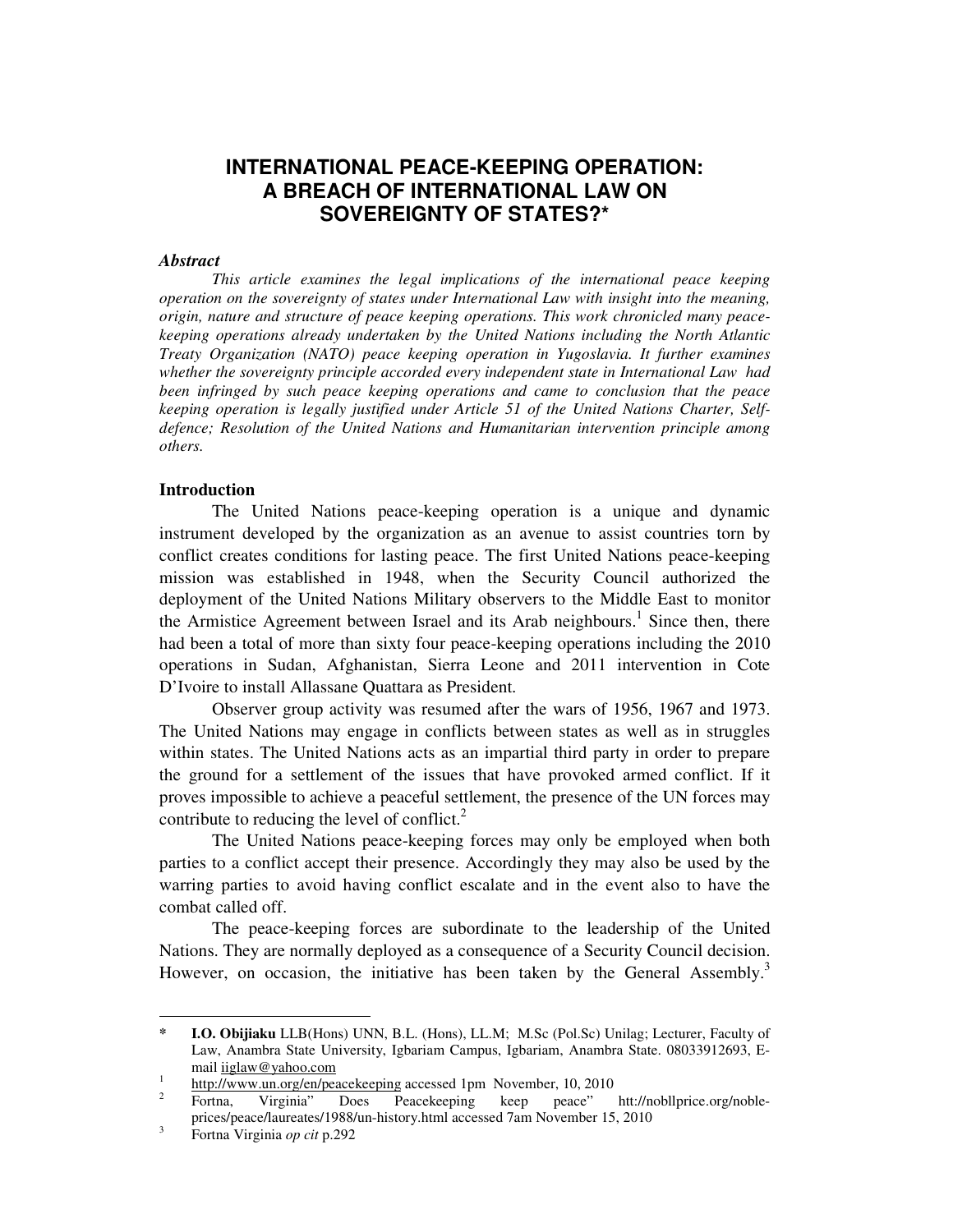# **INTERNATIONAL PEACE-KEEPING OPERATION: A BREACH OF INTERNATIONAL LAW ON SOVEREIGNTY OF STATES?\***

#### *Abstract*

*This article examines the legal implications of the international peace keeping operation on the sovereignty of states under International Law with insight into the meaning, origin, nature and structure of peace keeping operations. This work chronicled many peacekeeping operations already undertaken by the United Nations including the North Atlantic Treaty Organization (NATO) peace keeping operation in Yugoslavia. It further examines whether the sovereignty principle accorded every independent state in International Law had been infringed by such peace keeping operations and came to conclusion that the peace keeping operation is legally justified under Article 51 of the United Nations Charter, Selfdefence; Resolution of the United Nations and Humanitarian intervention principle among others.* 

#### **Introduction**

The United Nations peace-keeping operation is a unique and dynamic instrument developed by the organization as an avenue to assist countries torn by conflict creates conditions for lasting peace. The first United Nations peace-keeping mission was established in 1948, when the Security Council authorized the deployment of the United Nations Military observers to the Middle East to monitor the Armistice Agreement between Israel and its Arab neighbours.<sup>1</sup> Since then, there had been a total of more than sixty four peace-keeping operations including the 2010 operations in Sudan, Afghanistan, Sierra Leone and 2011 intervention in Cote D'Ivoire to install Allassane Quattara as President.

Observer group activity was resumed after the wars of 1956, 1967 and 1973. The United Nations may engage in conflicts between states as well as in struggles within states. The United Nations acts as an impartial third party in order to prepare the ground for a settlement of the issues that have provoked armed conflict. If it proves impossible to achieve a peaceful settlement, the presence of the UN forces may contribute to reducing the level of conflict. $^{2}$ 

The United Nations peace-keeping forces may only be employed when both parties to a conflict accept their presence. Accordingly they may also be used by the warring parties to avoid having conflict escalate and in the event also to have the combat called off.

 The peace-keeping forces are subordinate to the leadership of the United Nations. They are normally deployed as a consequence of a Security Council decision. However, on occasion, the initiative has been taken by the General Assembly.<sup>3</sup>

-

**<sup>\*</sup> I.O. Obijiaku** LLB(Hons) UNN, B.L. (Hons), LL.M; M.Sc (Pol.Sc) Unilag; Lecturer, Faculty of Law, Anambra State University, Igbariam Campus, Igbariam, Anambra State. 08033912693, Email iiglaw@yahoo.com

<sup>1</sup> http://www.un.org/en/peacekeeping accessed 1pm November, 10, 2010

<sup>2</sup> Fortna, Virginia" Does Peacekeeping keep peace" htt://nobllprice.org/nobleprices/peace/laureates/1988/un-history.html accessed 7am November 15, 2010

<sup>3</sup> Fortna Virginia *op cit* p.292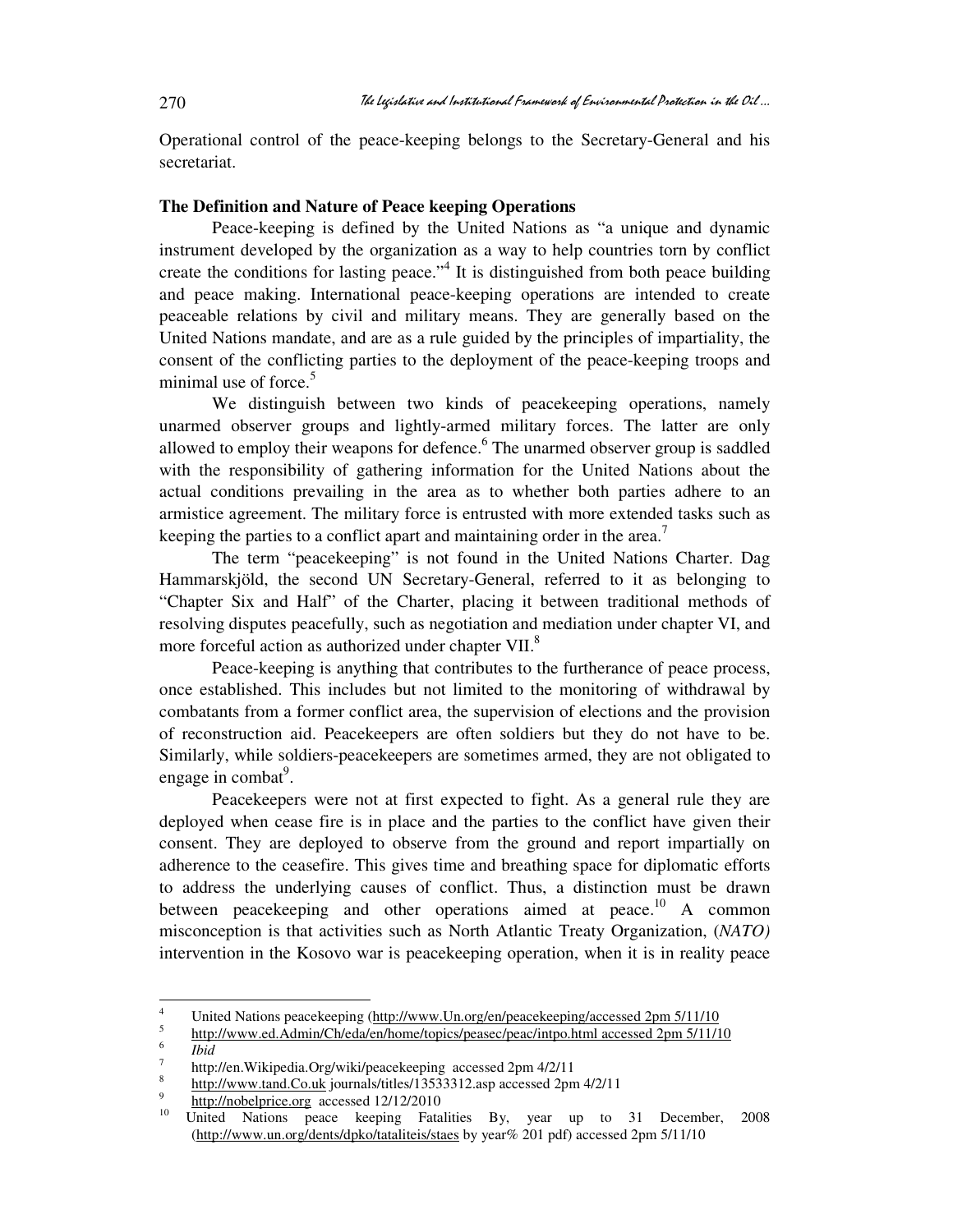Operational control of the peace-keeping belongs to the Secretary-General and his secretariat.

#### **The Definition and Nature of Peace keeping Operations**

Peace-keeping is defined by the United Nations as "a unique and dynamic instrument developed by the organization as a way to help countries torn by conflict create the conditions for lasting peace."<sup>4</sup> It is distinguished from both peace building and peace making. International peace-keeping operations are intended to create peaceable relations by civil and military means. They are generally based on the United Nations mandate, and are as a rule guided by the principles of impartiality, the consent of the conflicting parties to the deployment of the peace-keeping troops and minimal use of force. $5$ 

We distinguish between two kinds of peacekeeping operations, namely unarmed observer groups and lightly-armed military forces. The latter are only allowed to employ their weapons for defence.<sup>6</sup> The unarmed observer group is saddled with the responsibility of gathering information for the United Nations about the actual conditions prevailing in the area as to whether both parties adhere to an armistice agreement. The military force is entrusted with more extended tasks such as keeping the parties to a conflict apart and maintaining order in the area.<sup>7</sup>

The term "peacekeeping" is not found in the United Nations Charter. Dag Hammarskjöld, the second UN Secretary-General, referred to it as belonging to "Chapter Six and Half" of the Charter, placing it between traditional methods of resolving disputes peacefully, such as negotiation and mediation under chapter VI, and more forceful action as authorized under chapter VII.<sup>8</sup>

Peace-keeping is anything that contributes to the furtherance of peace process, once established. This includes but not limited to the monitoring of withdrawal by combatants from a former conflict area, the supervision of elections and the provision of reconstruction aid. Peacekeepers are often soldiers but they do not have to be. Similarly, while soldiers-peacekeepers are sometimes armed, they are not obligated to engage in combat<sup>9</sup>.

Peacekeepers were not at first expected to fight. As a general rule they are deployed when cease fire is in place and the parties to the conflict have given their consent. They are deployed to observe from the ground and report impartially on adherence to the ceasefire. This gives time and breathing space for diplomatic efforts to address the underlying causes of conflict. Thus, a distinction must be drawn between peacekeeping and other operations aimed at peace.<sup>10</sup> A common misconception is that activities such as North Atlantic Treaty Organization, (*NATO)* intervention in the Kosovo war is peacekeeping operation, when it is in reality peace

 $\frac{1}{4}$  United Nations peacekeeping (http://www.Un.org/en/peacekeeping/accessed 2pm 5/11/10 5

http://www.ed.Admin/Ch/eda/en/home/topics/peasec/peac/intpo.html accessed 2pm 5/11/10

<sup>6</sup> *Ibid*

<sup>7</sup> http://en.Wikipedia.Org/wiki/peacekeeping accessed 2pm 4/2/11

<sup>8</sup> http://www.tand.Co.uk journals/titles/13533312.asp accessed 2pm 4/2/11

<sup>9</sup>  $\frac{http://nobelprice.org}{http://nobelprice.org}$  accessed 12/12/2010

<sup>10</sup> United Nations peace keeping Fatalities By, year up to 31 December, 2008 (http://www.un.org/dents/dpko/tataliteis/staes by year% 201 pdf) accessed 2pm 5/11/10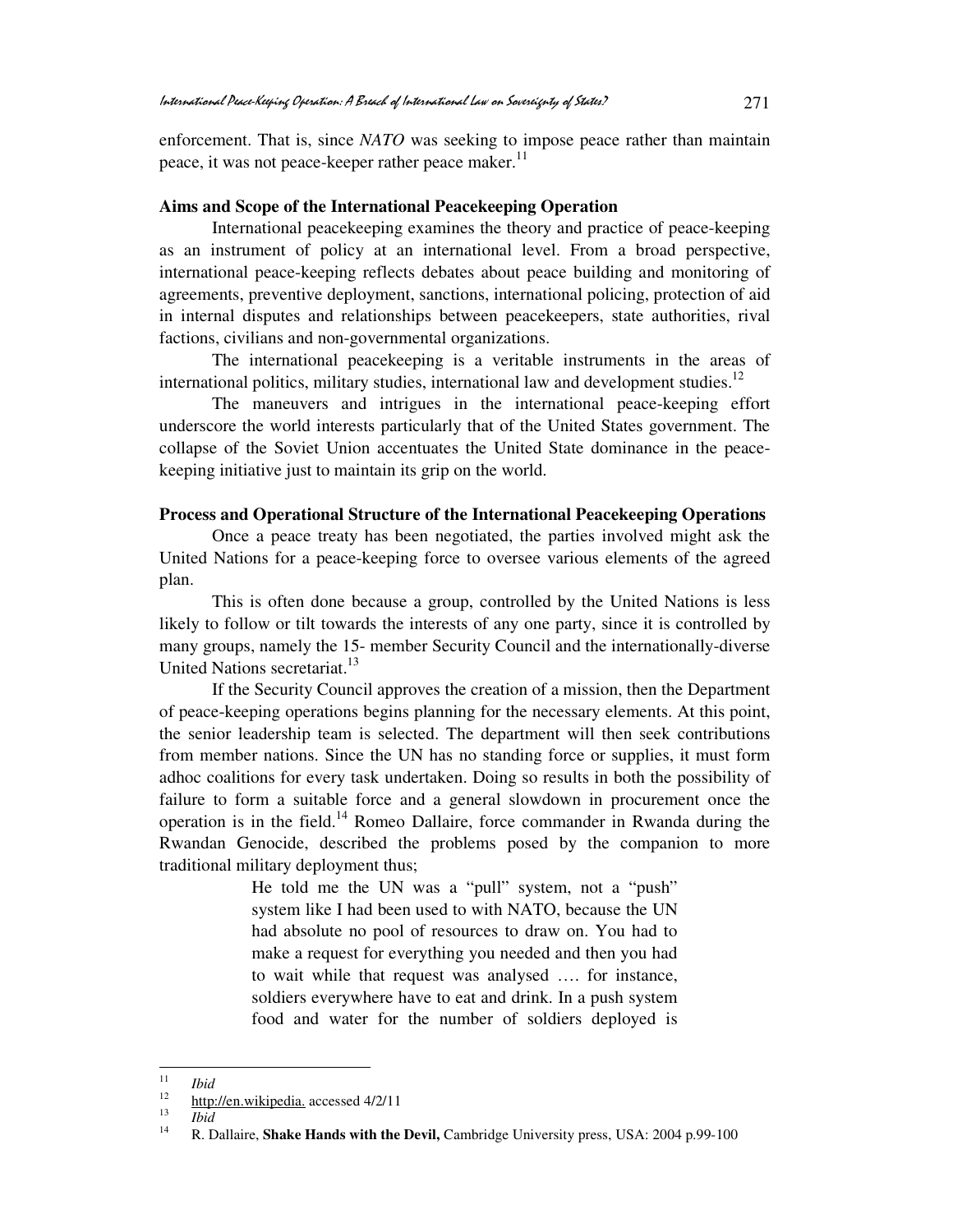enforcement. That is, since *NATO* was seeking to impose peace rather than maintain peace, it was not peace-keeper rather peace maker. $^{11}$ 

#### **Aims and Scope of the International Peacekeeping Operation**

 International peacekeeping examines the theory and practice of peace-keeping as an instrument of policy at an international level. From a broad perspective, international peace-keeping reflects debates about peace building and monitoring of agreements, preventive deployment, sanctions, international policing, protection of aid in internal disputes and relationships between peacekeepers, state authorities, rival factions, civilians and non-governmental organizations.

 The international peacekeeping is a veritable instruments in the areas of international politics, military studies, international law and development studies. $12$ 

 The maneuvers and intrigues in the international peace-keeping effort underscore the world interests particularly that of the United States government. The collapse of the Soviet Union accentuates the United State dominance in the peacekeeping initiative just to maintain its grip on the world.

#### **Process and Operational Structure of the International Peacekeeping Operations**

Once a peace treaty has been negotiated, the parties involved might ask the United Nations for a peace-keeping force to oversee various elements of the agreed plan.

This is often done because a group, controlled by the United Nations is less likely to follow or tilt towards the interests of any one party, since it is controlled by many groups, namely the 15- member Security Council and the internationally-diverse United Nations secretariat.<sup>13</sup>

If the Security Council approves the creation of a mission, then the Department of peace-keeping operations begins planning for the necessary elements. At this point, the senior leadership team is selected. The department will then seek contributions from member nations. Since the UN has no standing force or supplies, it must form adhoc coalitions for every task undertaken. Doing so results in both the possibility of failure to form a suitable force and a general slowdown in procurement once the operation is in the field.<sup>14</sup> Romeo Dallaire, force commander in Rwanda during the Rwandan Genocide, described the problems posed by the companion to more traditional military deployment thus;

> He told me the UN was a "pull" system, not a "push" system like I had been used to with NATO, because the UN had absolute no pool of resources to draw on. You had to make a request for everything you needed and then you had to wait while that request was analysed …. for instance, soldiers everywhere have to eat and drink. In a push system food and water for the number of soldiers deployed is

 $\frac{1}{11}$  $\frac{11}{12}$  *Ibid* 

http://en.wikipedia. accessed 4/2/11

<sup>13</sup>  $\frac{13}{14}$  *Ibid* 

<sup>14</sup> R. Dallaire, **Shake Hands with the Devil,** Cambridge University press, USA: 2004 p.99-100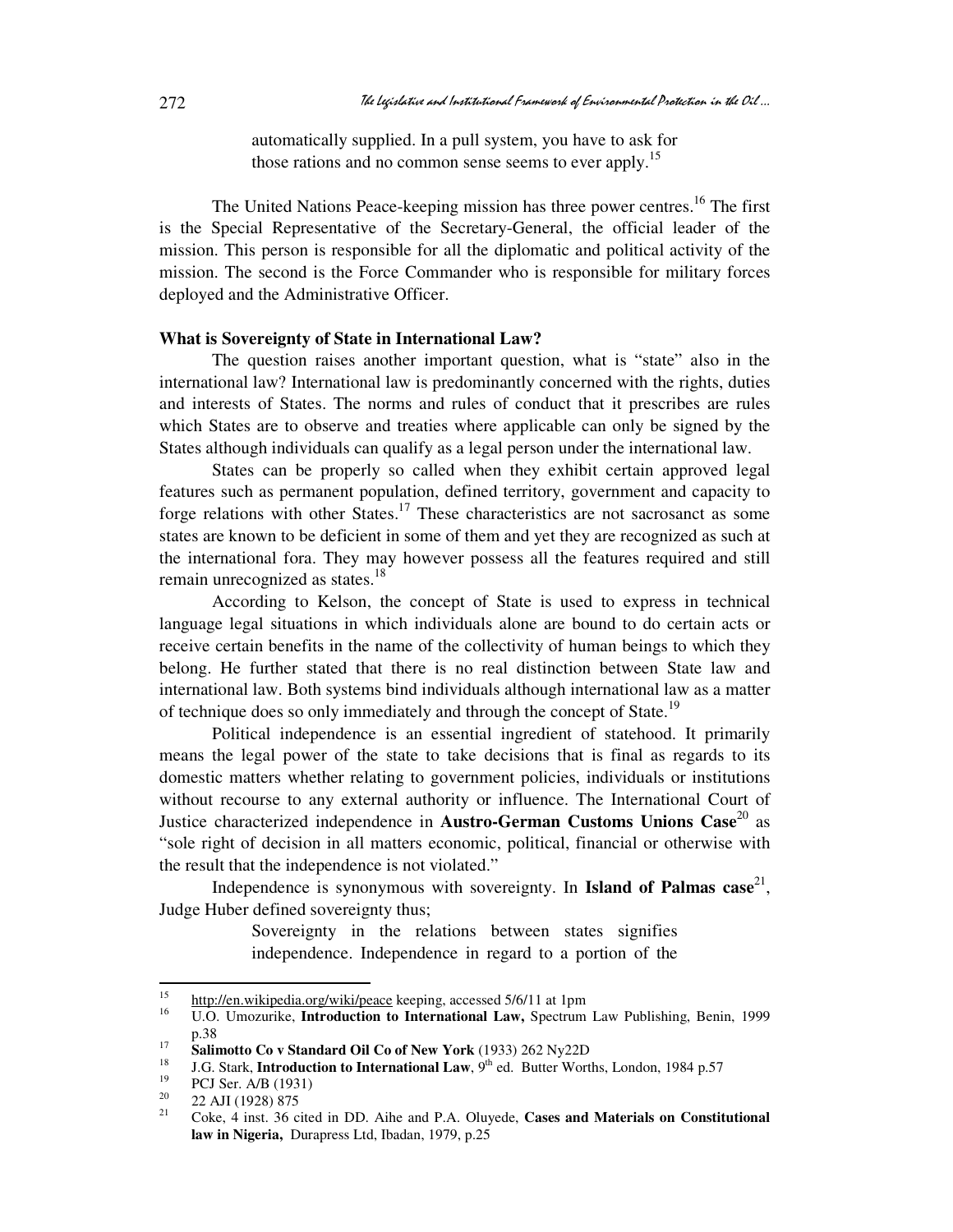automatically supplied. In a pull system, you have to ask for those rations and no common sense seems to ever apply.<sup>15</sup>

The United Nations Peace-keeping mission has three power centres.<sup>16</sup> The first is the Special Representative of the Secretary-General, the official leader of the mission. This person is responsible for all the diplomatic and political activity of the mission. The second is the Force Commander who is responsible for military forces deployed and the Administrative Officer.

#### **What is Sovereignty of State in International Law?**

The question raises another important question, what is "state" also in the international law? International law is predominantly concerned with the rights, duties and interests of States. The norms and rules of conduct that it prescribes are rules which States are to observe and treaties where applicable can only be signed by the States although individuals can qualify as a legal person under the international law.

States can be properly so called when they exhibit certain approved legal features such as permanent population, defined territory, government and capacity to forge relations with other States.<sup>17</sup> These characteristics are not sacrosanct as some states are known to be deficient in some of them and yet they are recognized as such at the international fora. They may however possess all the features required and still remain unrecognized as states.<sup>18</sup>

According to Kelson, the concept of State is used to express in technical language legal situations in which individuals alone are bound to do certain acts or receive certain benefits in the name of the collectivity of human beings to which they belong. He further stated that there is no real distinction between State law and international law. Both systems bind individuals although international law as a matter of technique does so only immediately and through the concept of State.<sup>19</sup>

Political independence is an essential ingredient of statehood. It primarily means the legal power of the state to take decisions that is final as regards to its domestic matters whether relating to government policies, individuals or institutions without recourse to any external authority or influence. The International Court of Justice characterized independence in Austro-German Customs Unions Case<sup>20</sup> as "sole right of decision in all matters economic, political, financial or otherwise with the result that the independence is not violated."

Independence is synonymous with sovereignty. In **Island of Palmas case**<sup>21</sup>, Judge Huber defined sovereignty thus;

> Sovereignty in the relations between states signifies independence. Independence in regard to a portion of the

<sup>15</sup>  $\frac{15}{16}$  http://en.wikipedia.org/wiki/peace keeping, accessed 5/6/11 at 1pm

<sup>16</sup> U.O. Umozurike, **Introduction to International Law,** Spectrum Law Publishing, Benin, 1999 p.38

<sup>17</sup> <sup>17</sup> **Salimotto Co v Standard Oil Co of New York** (1933) 262 Ny22D

<sup>18</sup> J.G. Stark, **Introduction to International Law**, 9<sup>th</sup> ed. Butter Worths, London, 1984 p.57<br><sup>19</sup> DCJ Ser, A/B (1021)

 $^{19}$  PCJ Ser. A/B (1931)<br>
20 22 AJJ (1928) 975

 $\frac{20}{21}$  22 AJI (1928) 875

<sup>21</sup> Coke, 4 inst. 36 cited in DD. Aihe and P.A. Oluyede, **Cases and Materials on Constitutional law in Nigeria,** Durapress Ltd, Ibadan, 1979, p.25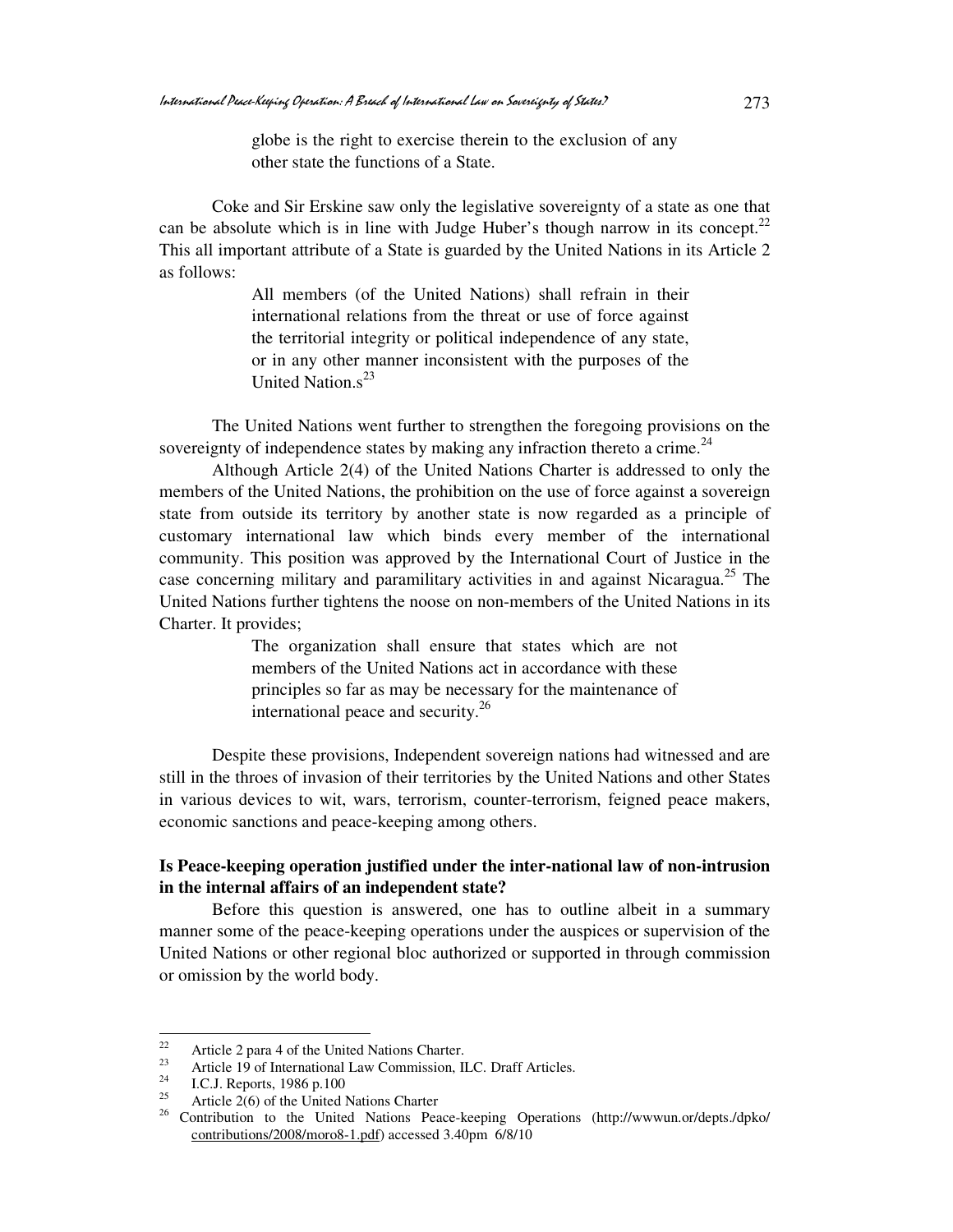globe is the right to exercise therein to the exclusion of any other state the functions of a State.

Coke and Sir Erskine saw only the legislative sovereignty of a state as one that can be absolute which is in line with Judge Huber's though narrow in its concept.<sup>22</sup> This all important attribute of a State is guarded by the United Nations in its Article 2 as follows:

> All members (of the United Nations) shall refrain in their international relations from the threat or use of force against the territorial integrity or political independence of any state, or in any other manner inconsistent with the purposes of the United Nation  $s^{23}$

The United Nations went further to strengthen the foregoing provisions on the sovereignty of independence states by making any infraction thereto a crime.<sup>24</sup>

 Although Article 2(4) of the United Nations Charter is addressed to only the members of the United Nations, the prohibition on the use of force against a sovereign state from outside its territory by another state is now regarded as a principle of customary international law which binds every member of the international community. This position was approved by the International Court of Justice in the case concerning military and paramilitary activities in and against Nicaragua.<sup>25</sup> The United Nations further tightens the noose on non-members of the United Nations in its Charter. It provides;

> The organization shall ensure that states which are not members of the United Nations act in accordance with these principles so far as may be necessary for the maintenance of international peace and security.<sup>26</sup>

Despite these provisions, Independent sovereign nations had witnessed and are still in the throes of invasion of their territories by the United Nations and other States in various devices to wit, wars, terrorism, counter-terrorism, feigned peace makers, economic sanctions and peace-keeping among others.

### **Is Peace-keeping operation justified under the inter-national law of non-intrusion in the internal affairs of an independent state?**

Before this question is answered, one has to outline albeit in a summary manner some of the peace-keeping operations under the auspices or supervision of the United Nations or other regional bloc authorized or supported in through commission or omission by the world body.

<sup>22</sup> <sup>22</sup> Article 2 para 4 of the United Nations Charter.

<sup>&</sup>lt;sup>23</sup> Article 19 of International Law Commission, ILC. Draff Articles.<br> $^{24}$  LC. L Benerts, 1086 n 100.

<sup>&</sup>lt;sup>24</sup> I.C.J. Reports, 1986 p.100<br><sup>25</sup> Article 2(6) of the United

Article 2(6) of the United Nations Charter

<sup>&</sup>lt;sup>26</sup> Contribution to the United Nations Peace-keeping Operations (http://wwwun.or/depts./dpko/ contributions/2008/moro8-1.pdf) accessed 3.40pm 6/8/10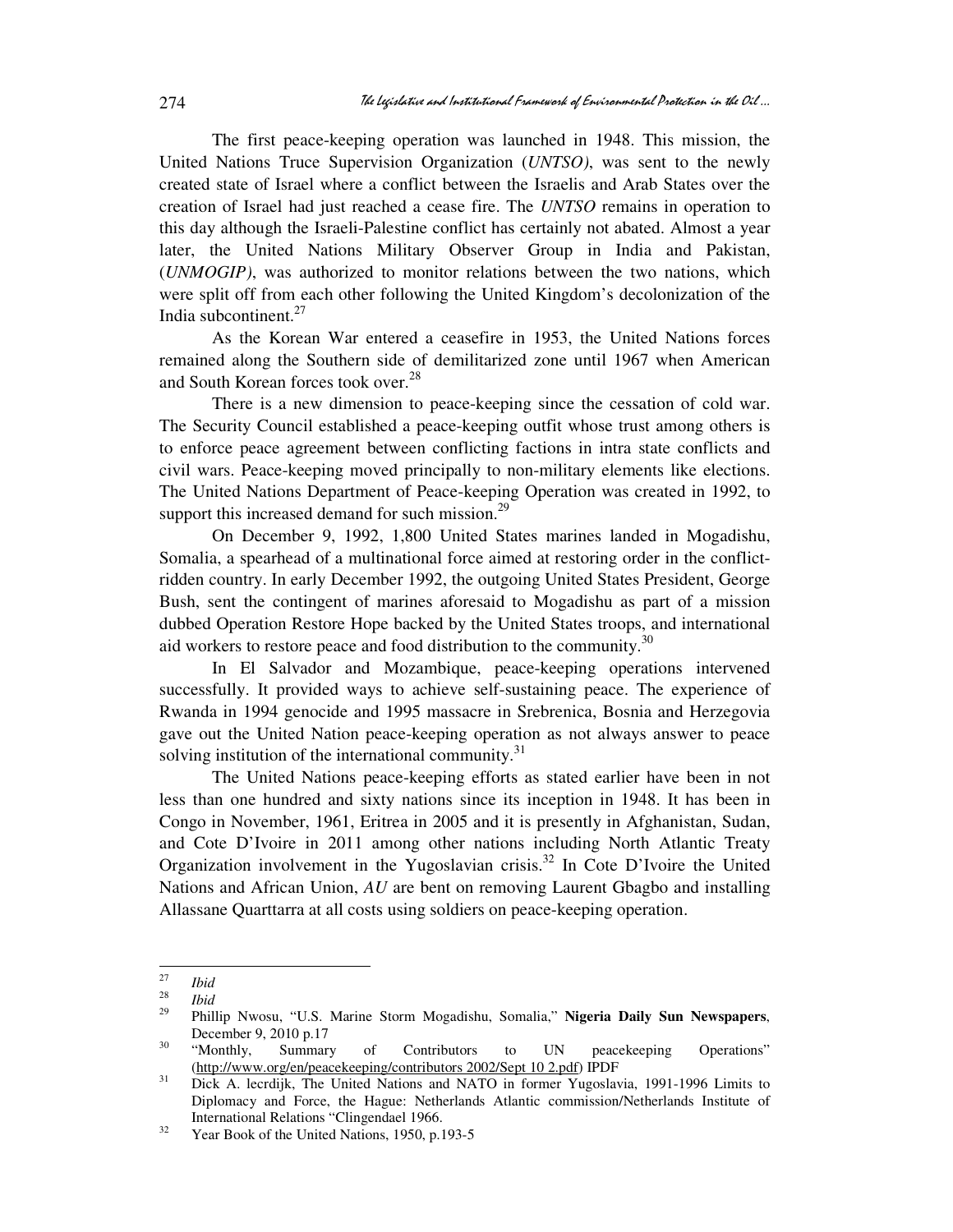The first peace-keeping operation was launched in 1948. This mission, the United Nations Truce Supervision Organization (*UNTSO)*, was sent to the newly created state of Israel where a conflict between the Israelis and Arab States over the creation of Israel had just reached a cease fire. The *UNTSO* remains in operation to this day although the Israeli-Palestine conflict has certainly not abated. Almost a year later, the United Nations Military Observer Group in India and Pakistan, (*UNMOGIP)*, was authorized to monitor relations between the two nations, which were split off from each other following the United Kingdom's decolonization of the India subcontinent. $27$ 

As the Korean War entered a ceasefire in 1953, the United Nations forces remained along the Southern side of demilitarized zone until 1967 when American and South Korean forces took over.<sup>28</sup>

There is a new dimension to peace-keeping since the cessation of cold war. The Security Council established a peace-keeping outfit whose trust among others is to enforce peace agreement between conflicting factions in intra state conflicts and civil wars. Peace-keeping moved principally to non-military elements like elections. The United Nations Department of Peace-keeping Operation was created in 1992, to support this increased demand for such mission. $^{29}$ 

On December 9, 1992, 1,800 United States marines landed in Mogadishu, Somalia, a spearhead of a multinational force aimed at restoring order in the conflictridden country. In early December 1992, the outgoing United States President, George Bush, sent the contingent of marines aforesaid to Mogadishu as part of a mission dubbed Operation Restore Hope backed by the United States troops, and international aid workers to restore peace and food distribution to the community.<sup>30</sup>

In El Salvador and Mozambique, peace-keeping operations intervened successfully. It provided ways to achieve self-sustaining peace. The experience of Rwanda in 1994 genocide and 1995 massacre in Srebrenica, Bosnia and Herzegovia gave out the United Nation peace-keeping operation as not always answer to peace solving institution of the international community.<sup>31</sup>

The United Nations peace-keeping efforts as stated earlier have been in not less than one hundred and sixty nations since its inception in 1948. It has been in Congo in November, 1961, Eritrea in 2005 and it is presently in Afghanistan, Sudan, and Cote D'Ivoire in 2011 among other nations including North Atlantic Treaty Organization involvement in the Yugoslavian crisis.<sup>32</sup> In Cote D'Ivoire the United Nations and African Union, *AU* are bent on removing Laurent Gbagbo and installing Allassane Quarttarra at all costs using soldiers on peace-keeping operation.

 $\frac{1}{27}$ *Ibid* 

<sup>28</sup>  $\frac{28}{29}$  *Ibid* 

<sup>29</sup> Phillip Nwosu, "U.S. Marine Storm Mogadishu, Somalia," **Nigeria Daily Sun Newspapers**, December 9, 2010 p.17

<sup>&</sup>lt;sup>30</sup> "Monthly, Summary of Contributors to UN peacekeeping Operations" (http://www.org/en/peacekeeping/contributors 2002/Sept 10 2.pdf) IPDF

<sup>&</sup>lt;sup>31</sup> Dick A. lecrdijk, The United Nations and NATO in former Yugoslavia, 1991-1996 Limits to Diplomacy and Force, the Hague: Netherlands Atlantic commission/Netherlands Institute of International Relations "Clingendael 1966.

<sup>&</sup>lt;sup>32</sup> Year Book of the United Nations, 1950, p.193-5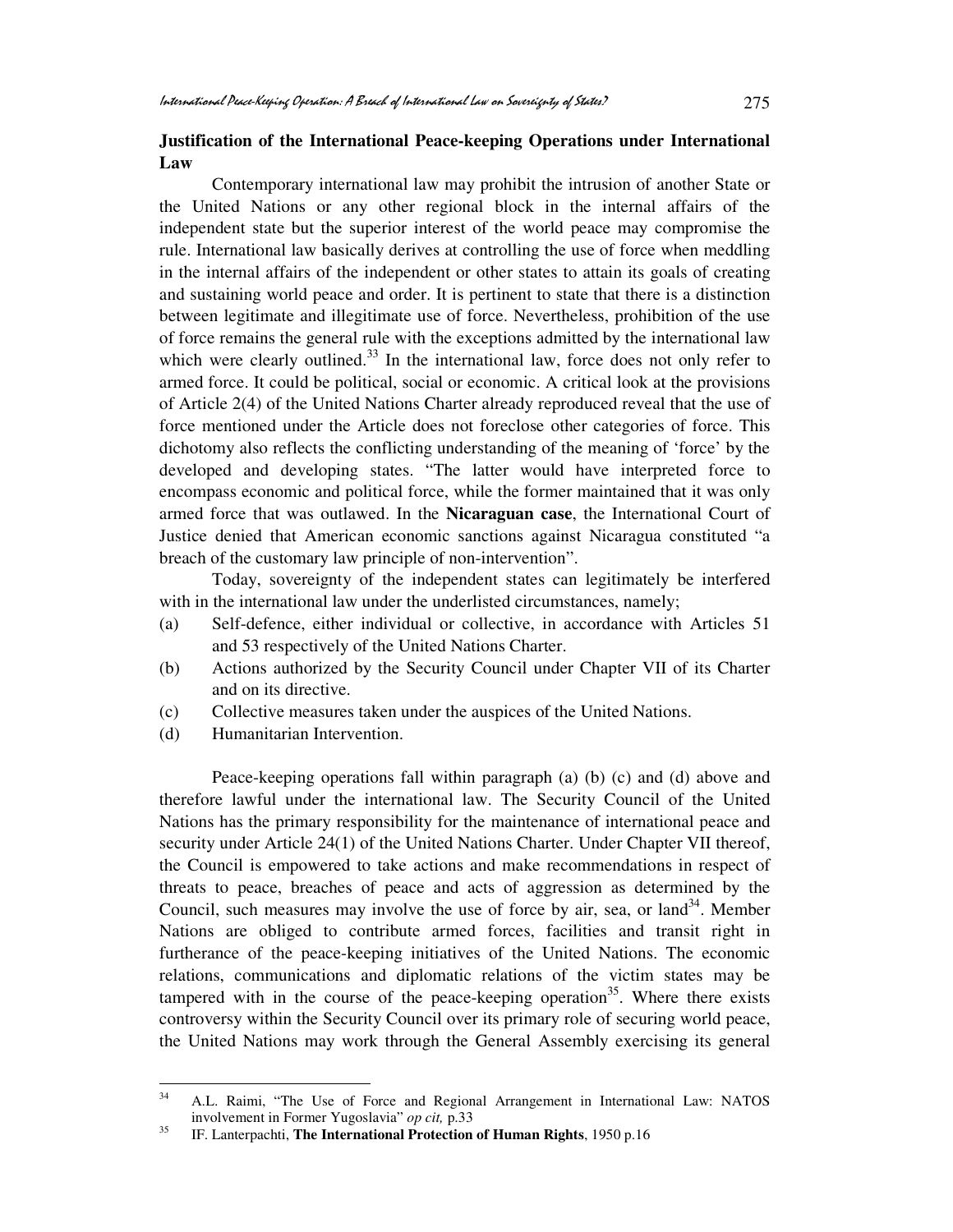#### **Justification of the International Peace-keeping Operations under International Law**

Contemporary international law may prohibit the intrusion of another State or the United Nations or any other regional block in the internal affairs of the independent state but the superior interest of the world peace may compromise the rule. International law basically derives at controlling the use of force when meddling in the internal affairs of the independent or other states to attain its goals of creating and sustaining world peace and order. It is pertinent to state that there is a distinction between legitimate and illegitimate use of force. Nevertheless, prohibition of the use of force remains the general rule with the exceptions admitted by the international law which were clearly outlined. $33$  In the international law, force does not only refer to armed force. It could be political, social or economic. A critical look at the provisions of Article 2(4) of the United Nations Charter already reproduced reveal that the use of force mentioned under the Article does not foreclose other categories of force. This dichotomy also reflects the conflicting understanding of the meaning of 'force' by the developed and developing states. "The latter would have interpreted force to encompass economic and political force, while the former maintained that it was only armed force that was outlawed. In the **Nicaraguan case**, the International Court of Justice denied that American economic sanctions against Nicaragua constituted "a breach of the customary law principle of non-intervention".

Today, sovereignty of the independent states can legitimately be interfered with in the international law under the underlisted circumstances, namely;

- (a) Self-defence, either individual or collective, in accordance with Articles 51 and 53 respectively of the United Nations Charter.
- (b) Actions authorized by the Security Council under Chapter VII of its Charter and on its directive.
- (c) Collective measures taken under the auspices of the United Nations.
- (d) Humanitarian Intervention.

Peace-keeping operations fall within paragraph (a) (b) (c) and (d) above and therefore lawful under the international law. The Security Council of the United Nations has the primary responsibility for the maintenance of international peace and security under Article 24(1) of the United Nations Charter. Under Chapter VII thereof, the Council is empowered to take actions and make recommendations in respect of threats to peace, breaches of peace and acts of aggression as determined by the Council, such measures may involve the use of force by air, sea, or land  $34$ . Member Nations are obliged to contribute armed forces, facilities and transit right in furtherance of the peace-keeping initiatives of the United Nations. The economic relations, communications and diplomatic relations of the victim states may be tampered with in the course of the peace-keeping operation<sup>35</sup>. Where there exists controversy within the Security Council over its primary role of securing world peace, the United Nations may work through the General Assembly exercising its general

 $34$ <sup>34</sup> A.L. Raimi, "The Use of Force and Regional Arrangement in International Law: NATOS involvement in Former Yugoslavia" *op cit,* p.33

<sup>35</sup> IF. Lanterpachti, **The International Protection of Human Rights**, 1950 p.16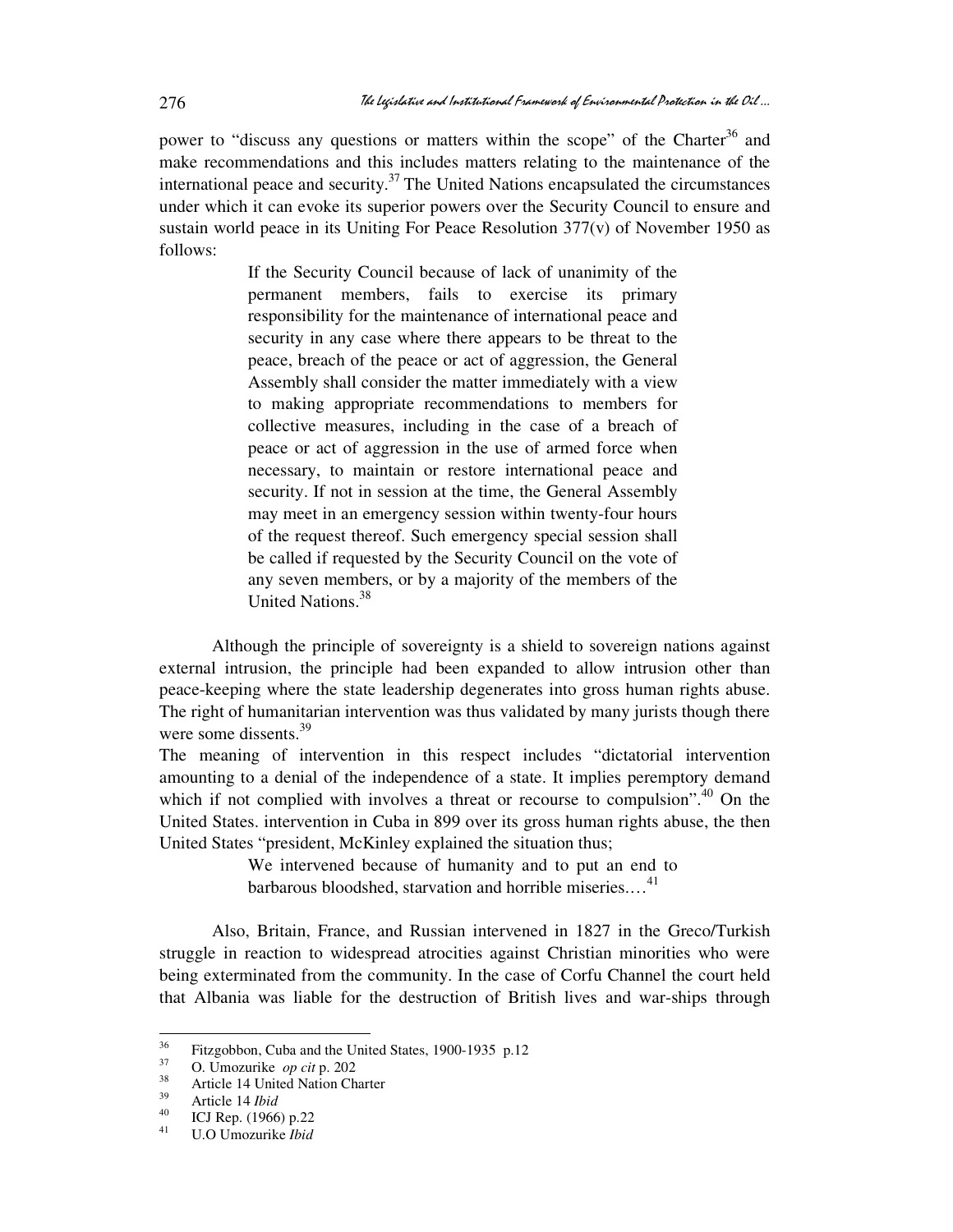power to "discuss any questions or matters within the scope" of the Charter<sup>36</sup> and make recommendations and this includes matters relating to the maintenance of the international peace and security.<sup>37</sup> The United Nations encapsulated the circumstances under which it can evoke its superior powers over the Security Council to ensure and sustain world peace in its Uniting For Peace Resolution 377(v) of November 1950 as follows:

> If the Security Council because of lack of unanimity of the permanent members, fails to exercise its primary responsibility for the maintenance of international peace and security in any case where there appears to be threat to the peace, breach of the peace or act of aggression, the General Assembly shall consider the matter immediately with a view to making appropriate recommendations to members for collective measures, including in the case of a breach of peace or act of aggression in the use of armed force when necessary, to maintain or restore international peace and security. If not in session at the time, the General Assembly may meet in an emergency session within twenty-four hours of the request thereof. Such emergency special session shall be called if requested by the Security Council on the vote of any seven members, or by a majority of the members of the United Nations.<sup>38</sup>

Although the principle of sovereignty is a shield to sovereign nations against external intrusion, the principle had been expanded to allow intrusion other than peace-keeping where the state leadership degenerates into gross human rights abuse. The right of humanitarian intervention was thus validated by many jurists though there were some dissents.<sup>39</sup>

The meaning of intervention in this respect includes "dictatorial intervention amounting to a denial of the independence of a state. It implies peremptory demand which if not complied with involves a threat or recourse to compulsion".<sup>40</sup> On the United States. intervention in Cuba in 899 over its gross human rights abuse, the then United States "president, McKinley explained the situation thus;

> We intervened because of humanity and to put an end to barbarous bloodshed, starvation and horrible miseries....<sup>41</sup>

Also, Britain, France, and Russian intervened in 1827 in the Greco/Turkish struggle in reaction to widespread atrocities against Christian minorities who were being exterminated from the community. In the case of Corfu Channel the court held that Albania was liable for the destruction of British lives and war-ships through

<sup>36</sup> <sup>36</sup> Fitzgobbon, Cuba and the United States, 1900-1935 p.12

 $\frac{37}{38}$  O. Umozurike *op cit* p. 202

<sup>&</sup>lt;sup>38</sup> Article 14 United Nation Charter

 $^{39}$  Article 14 *Ibid*<br> $^{40}$  ICI Ben (1066)

<sup>&</sup>lt;sup>40</sup> ICJ Rep. (1966) p.22

<sup>41</sup> U.O Umozurike *Ibid*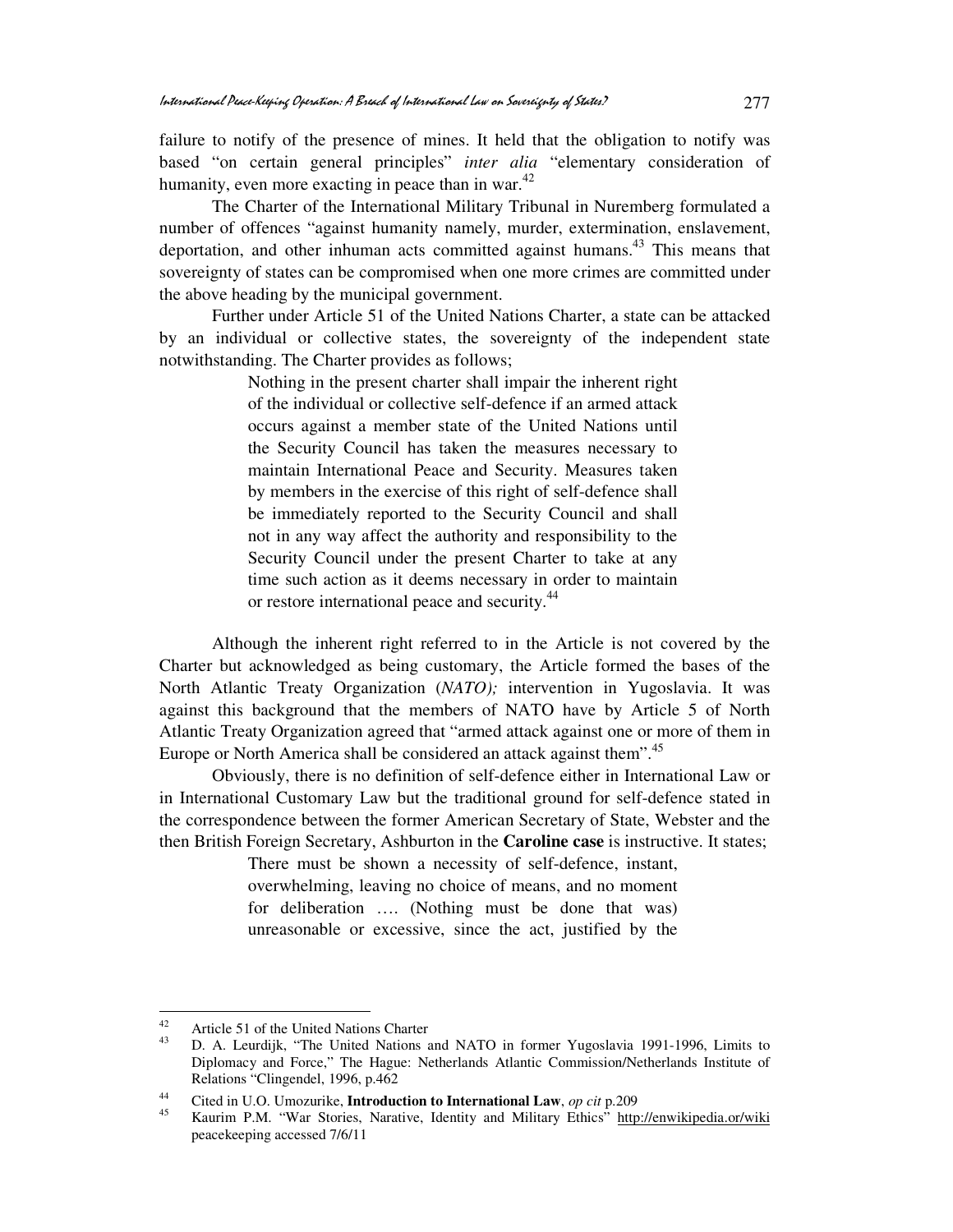failure to notify of the presence of mines. It held that the obligation to notify was based "on certain general principles" *inter alia* "elementary consideration of humanity, even more exacting in peace than in war.<sup>42</sup>

 The Charter of the International Military Tribunal in Nuremberg formulated a number of offences "against humanity namely, murder, extermination, enslavement, deportation, and other inhuman acts committed against humans.<sup>43</sup> This means that sovereignty of states can be compromised when one more crimes are committed under the above heading by the municipal government.

 Further under Article 51 of the United Nations Charter, a state can be attacked by an individual or collective states, the sovereignty of the independent state notwithstanding. The Charter provides as follows;

> Nothing in the present charter shall impair the inherent right of the individual or collective self-defence if an armed attack occurs against a member state of the United Nations until the Security Council has taken the measures necessary to maintain International Peace and Security. Measures taken by members in the exercise of this right of self-defence shall be immediately reported to the Security Council and shall not in any way affect the authority and responsibility to the Security Council under the present Charter to take at any time such action as it deems necessary in order to maintain or restore international peace and security.<sup>44</sup>

Although the inherent right referred to in the Article is not covered by the Charter but acknowledged as being customary, the Article formed the bases of the North Atlantic Treaty Organization (*NATO);* intervention in Yugoslavia. It was against this background that the members of NATO have by Article 5 of North Atlantic Treaty Organization agreed that "armed attack against one or more of them in Europe or North America shall be considered an attack against them".<sup>45</sup>

 Obviously, there is no definition of self-defence either in International Law or in International Customary Law but the traditional ground for self-defence stated in the correspondence between the former American Secretary of State, Webster and the then British Foreign Secretary, Ashburton in the **Caroline case** is instructive. It states;

> There must be shown a necessity of self-defence, instant, overwhelming, leaving no choice of means, and no moment for deliberation …. (Nothing must be done that was) unreasonable or excessive, since the act, justified by the

 $42$  $^{42}$  Article 51 of the United Nations Charter

<sup>43</sup> D. A. Leurdijk, "The United Nations and NATO in former Yugoslavia 1991-1996, Limits to Diplomacy and Force," The Hague: Netherlands Atlantic Commission/Netherlands Institute of Relations "Clingendel, 1996, p.462

<sup>44</sup> Cited in U.O. Umozurike, **Introduction to International Law**, *op cit* p.209

<sup>45</sup> Kaurim P.M. "War Stories, Narative, Identity and Military Ethics" http://enwikipedia.or/wiki peacekeeping accessed 7/6/11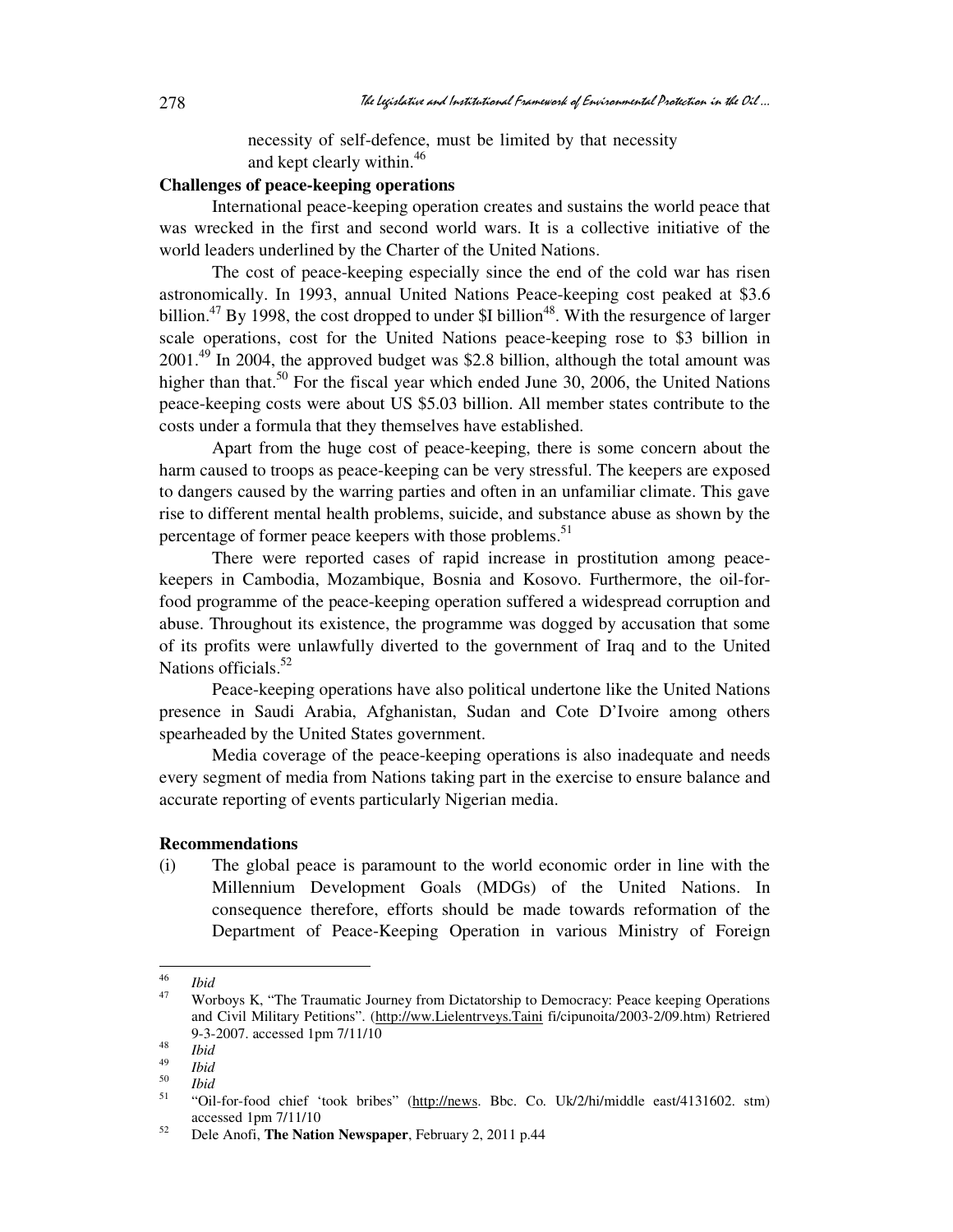necessity of self-defence, must be limited by that necessity and kept clearly within.<sup>46</sup>

## **Challenges of peace-keeping operations**

International peace-keeping operation creates and sustains the world peace that was wrecked in the first and second world wars. It is a collective initiative of the world leaders underlined by the Charter of the United Nations.

 The cost of peace-keeping especially since the end of the cold war has risen astronomically. In 1993, annual United Nations Peace-keeping cost peaked at \$3.6 billion.<sup>47</sup> By 1998, the cost dropped to under \$I billion<sup>48</sup>. With the resurgence of larger scale operations, cost for the United Nations peace-keeping rose to \$3 billion in 2001.<sup>49</sup> In 2004, the approved budget was \$2.8 billion, although the total amount was higher than that.<sup>50</sup> For the fiscal year which ended June 30, 2006, the United Nations peace-keeping costs were about US \$5.03 billion. All member states contribute to the costs under a formula that they themselves have established.

 Apart from the huge cost of peace-keeping, there is some concern about the harm caused to troops as peace-keeping can be very stressful. The keepers are exposed to dangers caused by the warring parties and often in an unfamiliar climate. This gave rise to different mental health problems, suicide, and substance abuse as shown by the percentage of former peace keepers with those problems.<sup>51</sup>

 There were reported cases of rapid increase in prostitution among peacekeepers in Cambodia, Mozambique, Bosnia and Kosovo. Furthermore, the oil-forfood programme of the peace-keeping operation suffered a widespread corruption and abuse. Throughout its existence, the programme was dogged by accusation that some of its profits were unlawfully diverted to the government of Iraq and to the United Nations officials.<sup>52</sup>

 Peace-keeping operations have also political undertone like the United Nations presence in Saudi Arabia, Afghanistan, Sudan and Cote D'Ivoire among others spearheaded by the United States government.

 Media coverage of the peace-keeping operations is also inadequate and needs every segment of media from Nations taking part in the exercise to ensure balance and accurate reporting of events particularly Nigerian media.

#### **Recommendations**

(i) The global peace is paramount to the world economic order in line with the Millennium Development Goals (MDGs) of the United Nations. In consequence therefore, efforts should be made towards reformation of the Department of Peace-Keeping Operation in various Ministry of Foreign

 $\frac{1}{46}$  $\frac{46}{47}$  *Ibid* 

<sup>47</sup> Worboys K, "The Traumatic Journey from Dictatorship to Democracy: Peace keeping Operations and Civil Military Petitions". (http://ww.Lielentrveys.Taini fi/cipunoita/2003-2/09.htm) Retriered 9-3-2007. accessed 1pm 7/11/10 48

*Ibid*  49

*Ibid*  50

 $\frac{50}{51}$  *Ibid* 

<sup>51</sup> "Oil-for-food chief 'took bribes" (http://news. Bbc. Co. Uk/2/hi/middle east/4131602. stm) accessed 1pm 7/11/10

<sup>52</sup> Dele Anofi, **The Nation Newspaper**, February 2, 2011 p.44